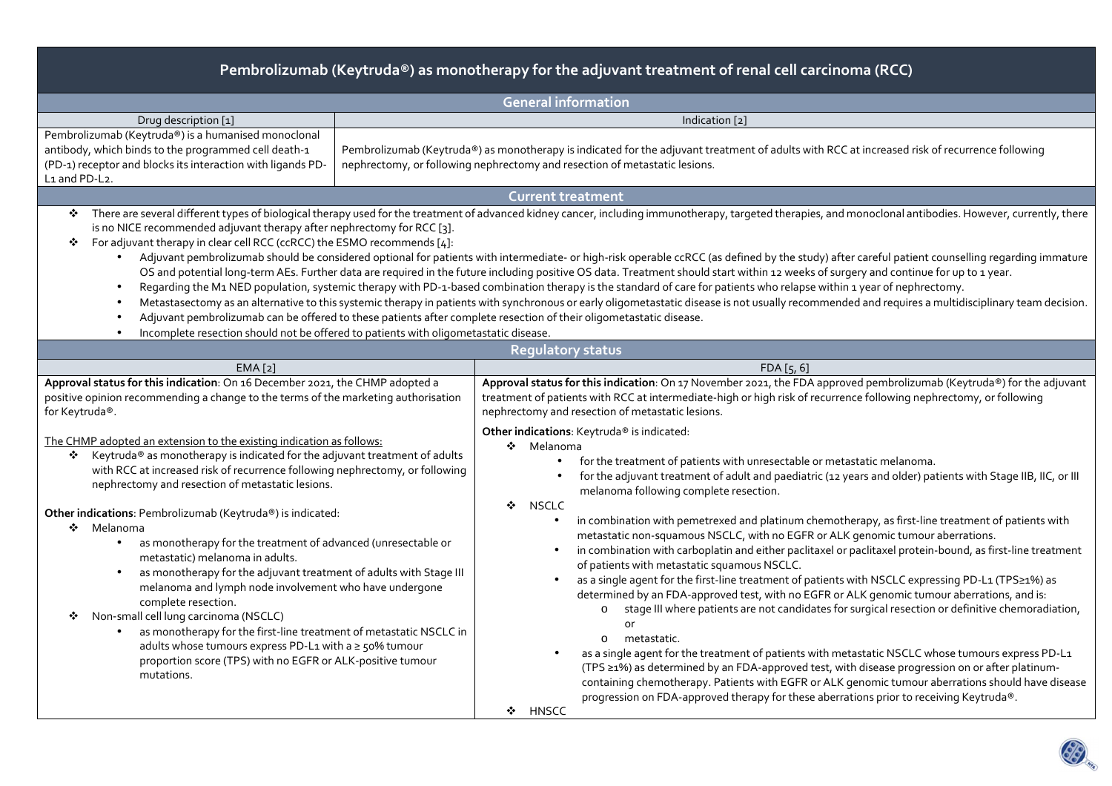| Pembrolizumab (Keytruda®) as monotherapy for the adjuvant treatment of renal cell carcinoma (RCC)                                                                                                                                                                                                                                                                                                                                                                                                                                                                                                                       |                                                                                                                                                                                                                                                                                                                                                                                                                                                                                                                                                                                                                                                                                                                                                                                                                                                                                                                                                                                                                                                                                                                                         |  |  |  |  |  |  |
|-------------------------------------------------------------------------------------------------------------------------------------------------------------------------------------------------------------------------------------------------------------------------------------------------------------------------------------------------------------------------------------------------------------------------------------------------------------------------------------------------------------------------------------------------------------------------------------------------------------------------|-----------------------------------------------------------------------------------------------------------------------------------------------------------------------------------------------------------------------------------------------------------------------------------------------------------------------------------------------------------------------------------------------------------------------------------------------------------------------------------------------------------------------------------------------------------------------------------------------------------------------------------------------------------------------------------------------------------------------------------------------------------------------------------------------------------------------------------------------------------------------------------------------------------------------------------------------------------------------------------------------------------------------------------------------------------------------------------------------------------------------------------------|--|--|--|--|--|--|
| <b>General information</b>                                                                                                                                                                                                                                                                                                                                                                                                                                                                                                                                                                                              |                                                                                                                                                                                                                                                                                                                                                                                                                                                                                                                                                                                                                                                                                                                                                                                                                                                                                                                                                                                                                                                                                                                                         |  |  |  |  |  |  |
| Drug description [1]                                                                                                                                                                                                                                                                                                                                                                                                                                                                                                                                                                                                    | Indication [2]                                                                                                                                                                                                                                                                                                                                                                                                                                                                                                                                                                                                                                                                                                                                                                                                                                                                                                                                                                                                                                                                                                                          |  |  |  |  |  |  |
| Pembrolizumab (Keytruda®) is a humanised monoclonal<br>antibody, which binds to the programmed cell death-1<br>(PD-1) receptor and blocks its interaction with ligands PD-<br>L1 and PD-L2.                                                                                                                                                                                                                                                                                                                                                                                                                             | Pembrolizumab (Keytruda®) as monotherapy is indicated for the adjuvant treatment of adults with RCC at increased risk of recurrence following<br>nephrectomy, or following nephrectomy and resection of metastatic lesions.                                                                                                                                                                                                                                                                                                                                                                                                                                                                                                                                                                                                                                                                                                                                                                                                                                                                                                             |  |  |  |  |  |  |
|                                                                                                                                                                                                                                                                                                                                                                                                                                                                                                                                                                                                                         | <b>Current treatment</b>                                                                                                                                                                                                                                                                                                                                                                                                                                                                                                                                                                                                                                                                                                                                                                                                                                                                                                                                                                                                                                                                                                                |  |  |  |  |  |  |
| is no NICE recommended adjuvant therapy after nephrectomy for RCC [3].<br>For adjuvant therapy in clear cell RCC (ccRCC) the ESMO recommends [4]:<br>❖<br>$\bullet$<br>Adjuvant pembrolizumab can be offered to these patients after complete resection of their oligometastatic disease.<br>Incomplete resection should not be offered to patients with oligometastatic disease.<br>$\bullet$                                                                                                                                                                                                                          | * There are several different types of biological therapy used for the treatment of advanced kidney cancer, including immunotherapy, targeted therapies, and monoclonal antibodies. However, currently, there<br>Adjuvant pembrolizumab should be considered optional for patients with intermediate- or high-risk operable ccRCC (as defined by the study) after careful patient counselling regarding immature<br>OS and potential long-term AEs. Further data are required in the future including positive OS data. Treatment should start within 12 weeks of surgery and continue for up to 1 year.<br>Regarding the M1 NED population, systemic therapy with PD-1-based combination therapy is the standard of care for patients who relapse within 1 year of nephrectomy.<br>Metastasectomy as an alternative to this systemic therapy in patients with synchronous or early oligometastatic disease is not usually recommended and requires a multidisciplinary team decision.                                                                                                                                                  |  |  |  |  |  |  |
|                                                                                                                                                                                                                                                                                                                                                                                                                                                                                                                                                                                                                         | <b>Regulatory status</b>                                                                                                                                                                                                                                                                                                                                                                                                                                                                                                                                                                                                                                                                                                                                                                                                                                                                                                                                                                                                                                                                                                                |  |  |  |  |  |  |
| EMA[2]                                                                                                                                                                                                                                                                                                                                                                                                                                                                                                                                                                                                                  | FDA[5, 6]                                                                                                                                                                                                                                                                                                                                                                                                                                                                                                                                                                                                                                                                                                                                                                                                                                                                                                                                                                                                                                                                                                                               |  |  |  |  |  |  |
| Approval status for this indication: On 16 December 2021, the CHMP adopted a<br>positive opinion recommending a change to the terms of the marketing authorisation<br>for Keytruda®.<br>The CHMP adopted an extension to the existing indication as follows:<br>Keytruda® as monotherapy is indicated for the adjuvant treatment of adults<br>with RCC at increased risk of recurrence following nephrectomy, or following<br>nephrectomy and resection of metastatic lesions.                                                                                                                                          | Approval status for this indication: On 17 November 2021, the FDA approved pembrolizumab (Keytruda®) for the adjuvant<br>treatment of patients with RCC at intermediate-high or high risk of recurrence following nephrectomy, or following<br>nephrectomy and resection of metastatic lesions.<br>Other indications: Keytruda® is indicated:<br>❖ Melanoma<br>for the treatment of patients with unresectable or metastatic melanoma.<br>for the adjuvant treatment of adult and paediatric (12 years and older) patients with Stage IIB, IIC, or III<br>melanoma following complete resection.                                                                                                                                                                                                                                                                                                                                                                                                                                                                                                                                        |  |  |  |  |  |  |
| Other indications: Pembrolizumab (Keytruda®) is indicated:<br>❖ Melanoma<br>as monotherapy for the treatment of advanced (unresectable or<br>$\bullet$<br>metastatic) melanoma in adults.<br>as monotherapy for the adjuvant treatment of adults with Stage III<br>$\bullet$<br>melanoma and lymph node involvement who have undergone<br>complete resection.<br>Non-small cell lung carcinoma (NSCLC)<br>❖<br>as monotherapy for the first-line treatment of metastatic NSCLC in<br>adults whose tumours express PD-L1 with a ≥ 50% tumour<br>proportion score (TPS) with no EGFR or ALK-positive tumour<br>mutations. | ❖<br>NSCLC<br>in combination with pemetrexed and platinum chemotherapy, as first-line treatment of patients with<br>metastatic non-squamous NSCLC, with no EGFR or ALK genomic tumour aberrations.<br>in combination with carboplatin and either paclitaxel or paclitaxel protein-bound, as first-line treatment<br>of patients with metastatic squamous NSCLC.<br>as a single agent for the first-line treatment of patients with NSCLC expressing PD-L1 (TPS≥1%) as<br>determined by an FDA-approved test, with no EGFR or ALK genomic tumour aberrations, and is:<br>stage III where patients are not candidates for surgical resection or definitive chemoradiation,<br>$\circ$<br>or<br>metastatic.<br>$\Omega$<br>as a single agent for the treatment of patients with metastatic NSCLC whose tumours express PD-L1<br>(TPS ≥1%) as determined by an FDA-approved test, with disease progression on or after platinum-<br>containing chemotherapy. Patients with EGFR or ALK genomic tumour aberrations should have disease<br>progression on FDA-approved therapy for these aberrations prior to receiving Keytruda®.<br>❖ HNSCC |  |  |  |  |  |  |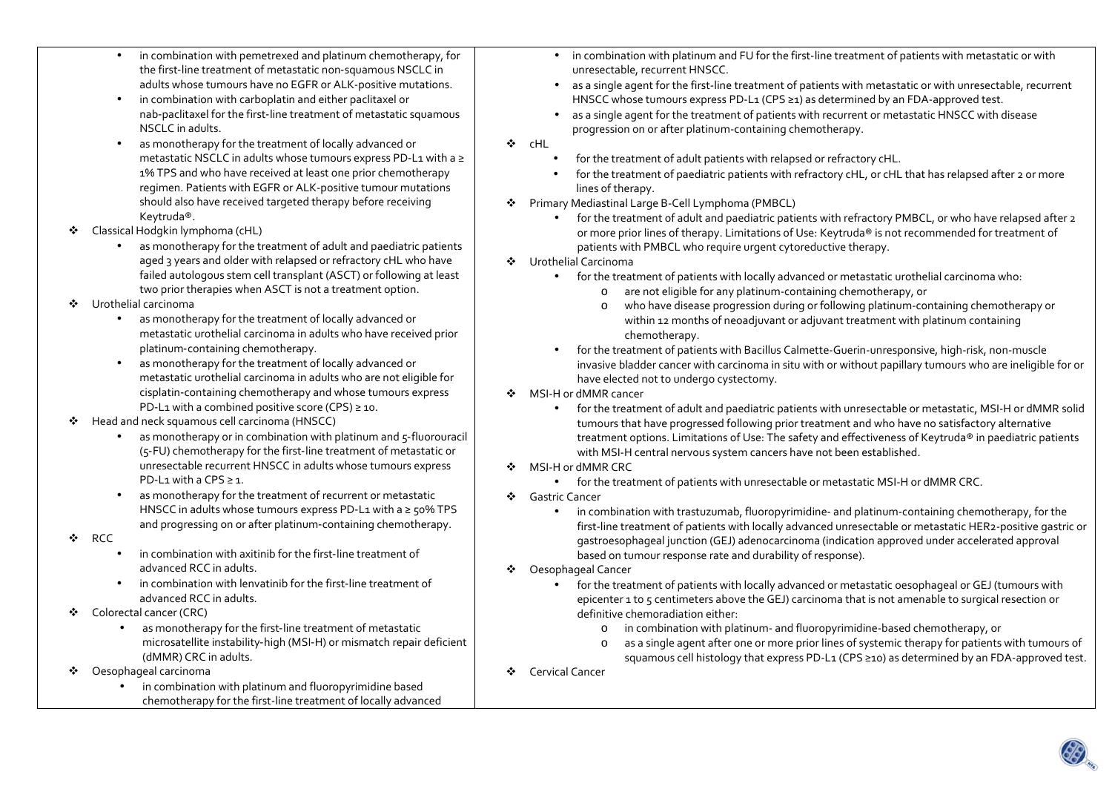- • in combination with pemetrexed and platinum chemotherapy, for the first-line treatment of metastatic non-squamous NSCLC in adults whose tumours have no EGFR or ALK-positive mutations.
- • in combination with carboplatin and either paclitaxel or nab-paclitaxel for the first-line treatment of metastatic squamous NSCLC in adults.
- • as monotherapy for the treatment of locally advanced or metastatic NSCLC in adults whose tumours express PD‑L1 with a ≥ 1% TPS and who have received at least one prior chemotherapy regimen. Patients with EGFR or ALK-positive tumour mutations should also have received targeted therapy before receiving Keytruda®.
- $\mathcal{L}_{\mathcal{F}}$  Classical Hodgkin lymphoma (cHL)
	- • as monotherapy for the treatment of adult and paediatric patients aged 3 years and older with relapsed or refractory cHL who have failed autologous stem cell transplant (ASCT) or following at least two prior therapies when ASCT is not a treatment option.
- $\mathbf{r}$  Urothelial carcinoma
	- • as monotherapy for the treatment of locally advanced or metastatic urothelial carcinoma in adults who have received prior platinum‑containing chemotherapy.
	- • as monotherapy for the treatment of locally advanced or metastatic urothelial carcinoma in adults who are not eligible for cisplatin‑containing chemotherapy and whose tumours express PD-L1 with a combined positive score (CPS)  $\geq$  10.
- ❖ Head and neck squamous cell carcinoma (HNSCC)
	- •as monotherapy or in combination with platinum and 5-fluorouracil (5‑FU) chemotherapy for the first‑line treatment of metastatic or unresectable recurrent HNSCC in adults whose tumours express PD-L1 with a CPS  $\geq 1$ .
	- • as monotherapy for the treatment of recurrent or metastatic HNSCC in adults whose tumours express PD-L1 with a ≥ 50% TPS and progressing on or after platinum‑containing chemotherapy.
- ❖ RCC
	- •in combination with axitinib for the first-line treatment of advanced RCC in adults.
	- in combination with lenvatinib for the first‑line treatment of advanced RCC in adults.
- ❖ Colorectal cancer (CRC)
	- •as monotherapy for the first-line treatment of metastatic microsatellite instability-high (MSI-H) or mismatch repair deficient (dMMR) CRC in adults.
- ❖ Oesophageal carcinoma
	- • in combination with platinum and fluoropyrimidine based chemotherapy for the first-line treatment of locally advanced
- in combination with platinum and FU for the first-line treatment of patients with metastatic or with unresectable, recurrent HNSCC.
- • as a single agent for the first-line treatment of patients with metastatic or with unresectable, recurrent HNSCC whose tumours express PD-L1 (CPS ≥1) as determined by an FDA-approved test.
- • as a single agent for the treatment of patients with recurrent or metastatic HNSCC with disease progression on or after platinum-containing chemotherapy.
- ❖ cHL
	- •for the treatment of adult patients with relapsed or refractory cHL.
	- • for the treatment of paediatric patients with refractory cHL, or cHL that has relapsed after 2 or more lines of therapy.
- ◆ Primary Mediastinal Large B-Cell Lymphoma (PMBCL)
	- • for the treatment of adult and paediatric patients with refractory PMBCL, or who have relapsed after 2 or more prior lines of therapy. Limitations of Use: Keytruda® is not recommended for treatment of patients with PMBCL who require urgent cytoreductive therapy.
- ❖ Urothelial Carcinoma
	- for the treatment of patients with locally advanced or metastatic urothelial carcinoma who:
		- oare not eligible for any platinum-containing chemotherapy, or
		- o who have disease progression during or following platinum-containing chemotherapy or within 12 months of neoadjuvant or adjuvant treatment with platinum containing chemotherapy.
	- • for the treatment of patients with Bacillus Calmette-Guerin-unresponsive, high-risk, non-muscle invasive bladder cancer with carcinoma in situ with or without papillary tumours who are ineligible for or have elected not to undergo cystectomy.
- $\bullet$  MSI-H or dMMR cancer<br>for the treatments
	- • for the treatment of adult and paediatric patients with unresectable or metastatic, MSI-H or dMMR solidtumours that have progressed following prior treatment and who have no satisfactory alternative treatment options. Limitations of Use: The safety and effectiveness of Keytruda® in paediatric patientswith MSI-H central nervous system cancers have not been established.
- ❖ MSI-H or dMMR CRC
	- •for the treatment of patients with unresectable or metastatic MSI-H or dMMR CRC.
- Gastric Cancer<br>Cancer
	- • in combination with trastuzumab, fluoropyrimidine- and platinum-containing chemotherapy, for the first-line treatment of patients with locally advanced unresectable or metastatic HER2-positive gastric or gastroesophageal junction (GEJ) adenocarcinoma (indication approved under accelerated approval based on tumour response rate and durability of response).
- ❖ Oesophageal Cancer
	- • for the treatment of patients with locally advanced or metastatic oesophageal or GEJ (tumours with epicenter 1 to 5 centimeters above the GEJ) carcinoma that is not amenable to surgical resection or definitive chemoradiation either:
		- oin combination with platinum- and fluoropyrimidine-based chemotherapy, or
		- o as a single agent after one or more prior lines of systemic therapy for patients with tumours of squamous cell histology that express PD-L1 (CPS ≥10) as determined by an FDA-approved test.
- ❖ Cervical Cancer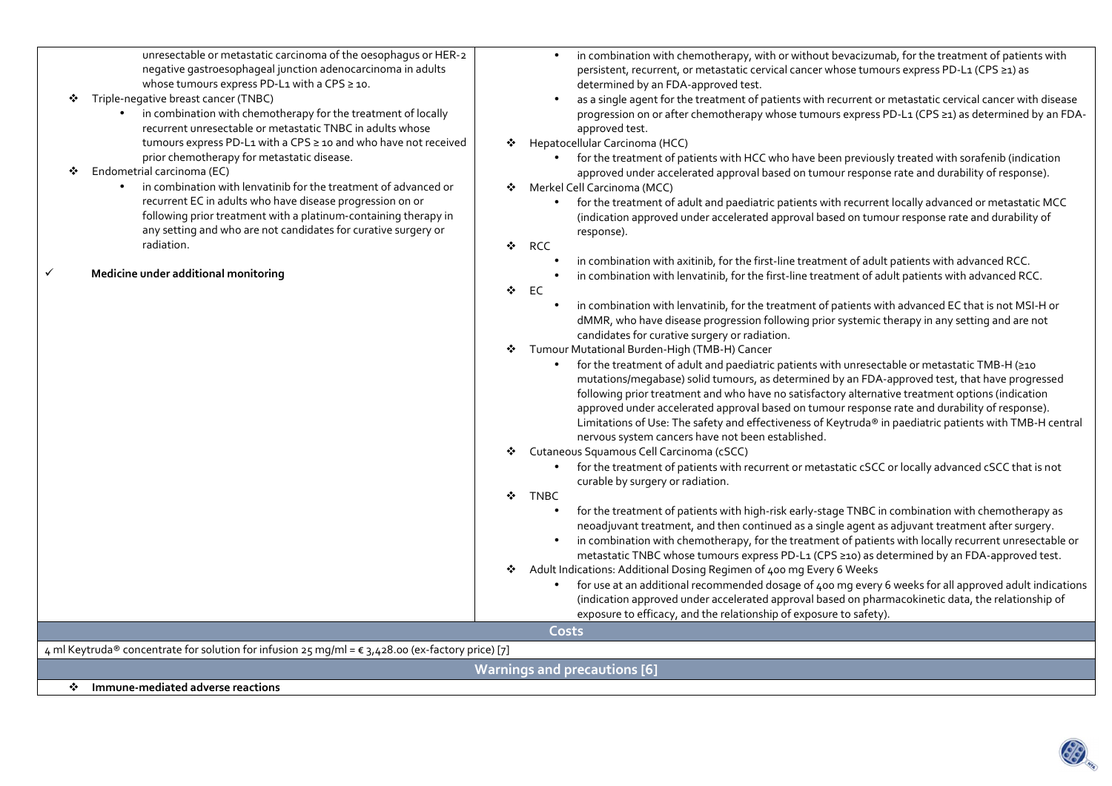| unresectable or metastatic carcinoma of the oesophagus or HER-2<br>negative gastroesophageal junction adenocarcinoma in adults<br>whose tumours express PD-L1 with a CPS ≥ 10.<br>Triple-negative breast cancer (TNBC)<br>• in combination with chemotherapy for the treatment of locally<br>recurrent unresectable or metastatic TNBC in adults whose<br>tumours express PD-L1 with a CPS ≥ 10 and who have not received<br>prior chemotherapy for metastatic disease.<br>Endometrial carcinoma (EC)<br>in combination with lenvatinib for the treatment of advanced or<br>recurrent EC in adults who have disease progression on or<br>following prior treatment with a platinum-containing therapy in<br>any setting and who are not candidates for curative surgery or<br>radiation.<br>Medicine under additional monitoring<br>✓ | in combination with chemotherapy, with or without bevacizumab, for the treatment of patients with<br>persistent, recurrent, or metastatic cervical cancer whose tumours express PD-L1 (CPS ≥1) as<br>determined by an FDA-approved test.<br>as a single agent for the treatment of patients with recurrent or metastatic cervical cancer with disease<br>progression on or after chemotherapy whose tumours express PD-L1 (CPS ≥1) as determined by an FDA-<br>approved test.<br>Hepatocellular Carcinoma (HCC)<br>❖<br>for the treatment of patients with HCC who have been previously treated with sorafenib (indication<br>approved under accelerated approval based on tumour response rate and durability of response).<br>Merkel Cell Carcinoma (MCC)<br>❖<br>for the treatment of adult and paediatric patients with recurrent locally advanced or metastatic MCC<br>$\bullet$<br>(indication approved under accelerated approval based on tumour response rate and durability of<br>response).<br>❖<br>RCC<br>in combination with axitinib, for the first-line treatment of adult patients with advanced RCC.<br>in combination with lenvatinib, for the first-line treatment of adult patients with advanced RCC.<br>❖<br>EC<br>in combination with lenvatinib, for the treatment of patients with advanced EC that is not MSI-H or<br>dMMR, who have disease progression following prior systemic therapy in any setting and are not<br>candidates for curative surgery or radiation.<br>Tumour Mutational Burden-High (TMB-H) Cancer<br>❖<br>for the treatment of adult and paediatric patients with unresectable or metastatic TMB-H (≥10<br>mutations/megabase) solid tumours, as determined by an FDA-approved test, that have progressed<br>following prior treatment and who have no satisfactory alternative treatment options (indication<br>approved under accelerated approval based on tumour response rate and durability of response).<br>Limitations of Use: The safety and effectiveness of Keytruda® in paediatric patients with TMB-H central<br>nervous system cancers have not been established.<br>Cutaneous Squamous Cell Carcinoma (cSCC)<br>❖<br>for the treatment of patients with recurrent or metastatic cSCC or locally advanced cSCC that is not<br>curable by surgery or radiation.<br>÷<br><b>TNBC</b><br>for the treatment of patients with high-risk early-stage TNBC in combination with chemotherapy as<br>neoadjuvant treatment, and then continued as a single agent as adjuvant treatment after surgery.<br>in combination with chemotherapy, for the treatment of patients with locally recurrent unresectable or<br>$\bullet$<br>metastatic TNBC whose tumours express PD-L1 (CPS ≥10) as determined by an FDA-approved test.<br>Adult Indications: Additional Dosing Regimen of 400 mg Every 6 Weeks<br>❖<br>for use at an additional recommended dosage of 400 mg every 6 weeks for all approved adult indications<br>$\bullet$<br>(indication approved under accelerated approval based on pharmacokinetic data, the relationship of |  |  |  |  |  |  |
|---------------------------------------------------------------------------------------------------------------------------------------------------------------------------------------------------------------------------------------------------------------------------------------------------------------------------------------------------------------------------------------------------------------------------------------------------------------------------------------------------------------------------------------------------------------------------------------------------------------------------------------------------------------------------------------------------------------------------------------------------------------------------------------------------------------------------------------|------------------------------------------------------------------------------------------------------------------------------------------------------------------------------------------------------------------------------------------------------------------------------------------------------------------------------------------------------------------------------------------------------------------------------------------------------------------------------------------------------------------------------------------------------------------------------------------------------------------------------------------------------------------------------------------------------------------------------------------------------------------------------------------------------------------------------------------------------------------------------------------------------------------------------------------------------------------------------------------------------------------------------------------------------------------------------------------------------------------------------------------------------------------------------------------------------------------------------------------------------------------------------------------------------------------------------------------------------------------------------------------------------------------------------------------------------------------------------------------------------------------------------------------------------------------------------------------------------------------------------------------------------------------------------------------------------------------------------------------------------------------------------------------------------------------------------------------------------------------------------------------------------------------------------------------------------------------------------------------------------------------------------------------------------------------------------------------------------------------------------------------------------------------------------------------------------------------------------------------------------------------------------------------------------------------------------------------------------------------------------------------------------------------------------------------------------------------------------------------------------------------------------------------------------------------------------------------------------------------------------------------------------------------------------------------------------------------------------------------------------------------------------------------------------------------------------------------------------------------------------------------------------------------------------------------------------------------------------------------------------------------------------------------------------------------------------------------|--|--|--|--|--|--|
|                                                                                                                                                                                                                                                                                                                                                                                                                                                                                                                                                                                                                                                                                                                                                                                                                                       | exposure to efficacy, and the relationship of exposure to safety).                                                                                                                                                                                                                                                                                                                                                                                                                                                                                                                                                                                                                                                                                                                                                                                                                                                                                                                                                                                                                                                                                                                                                                                                                                                                                                                                                                                                                                                                                                                                                                                                                                                                                                                                                                                                                                                                                                                                                                                                                                                                                                                                                                                                                                                                                                                                                                                                                                                                                                                                                                                                                                                                                                                                                                                                                                                                                                                                                                                                                       |  |  |  |  |  |  |
|                                                                                                                                                                                                                                                                                                                                                                                                                                                                                                                                                                                                                                                                                                                                                                                                                                       | Costs                                                                                                                                                                                                                                                                                                                                                                                                                                                                                                                                                                                                                                                                                                                                                                                                                                                                                                                                                                                                                                                                                                                                                                                                                                                                                                                                                                                                                                                                                                                                                                                                                                                                                                                                                                                                                                                                                                                                                                                                                                                                                                                                                                                                                                                                                                                                                                                                                                                                                                                                                                                                                                                                                                                                                                                                                                                                                                                                                                                                                                                                                    |  |  |  |  |  |  |
| 4 ml Keytruda® concentrate for solution for infusion 25 mg/ml = $\epsilon$ 3,428.00 (ex-factory price) [7]                                                                                                                                                                                                                                                                                                                                                                                                                                                                                                                                                                                                                                                                                                                            |                                                                                                                                                                                                                                                                                                                                                                                                                                                                                                                                                                                                                                                                                                                                                                                                                                                                                                                                                                                                                                                                                                                                                                                                                                                                                                                                                                                                                                                                                                                                                                                                                                                                                                                                                                                                                                                                                                                                                                                                                                                                                                                                                                                                                                                                                                                                                                                                                                                                                                                                                                                                                                                                                                                                                                                                                                                                                                                                                                                                                                                                                          |  |  |  |  |  |  |
| <b>Warnings and precautions [6]</b>                                                                                                                                                                                                                                                                                                                                                                                                                                                                                                                                                                                                                                                                                                                                                                                                   |                                                                                                                                                                                                                                                                                                                                                                                                                                                                                                                                                                                                                                                                                                                                                                                                                                                                                                                                                                                                                                                                                                                                                                                                                                                                                                                                                                                                                                                                                                                                                                                                                                                                                                                                                                                                                                                                                                                                                                                                                                                                                                                                                                                                                                                                                                                                                                                                                                                                                                                                                                                                                                                                                                                                                                                                                                                                                                                                                                                                                                                                                          |  |  |  |  |  |  |
| ❖ Immune-mediated adverse reactions                                                                                                                                                                                                                                                                                                                                                                                                                                                                                                                                                                                                                                                                                                                                                                                                   |                                                                                                                                                                                                                                                                                                                                                                                                                                                                                                                                                                                                                                                                                                                                                                                                                                                                                                                                                                                                                                                                                                                                                                                                                                                                                                                                                                                                                                                                                                                                                                                                                                                                                                                                                                                                                                                                                                                                                                                                                                                                                                                                                                                                                                                                                                                                                                                                                                                                                                                                                                                                                                                                                                                                                                                                                                                                                                                                                                                                                                                                                          |  |  |  |  |  |  |
|                                                                                                                                                                                                                                                                                                                                                                                                                                                                                                                                                                                                                                                                                                                                                                                                                                       |                                                                                                                                                                                                                                                                                                                                                                                                                                                                                                                                                                                                                                                                                                                                                                                                                                                                                                                                                                                                                                                                                                                                                                                                                                                                                                                                                                                                                                                                                                                                                                                                                                                                                                                                                                                                                                                                                                                                                                                                                                                                                                                                                                                                                                                                                                                                                                                                                                                                                                                                                                                                                                                                                                                                                                                                                                                                                                                                                                                                                                                                                          |  |  |  |  |  |  |

**S.P. Many**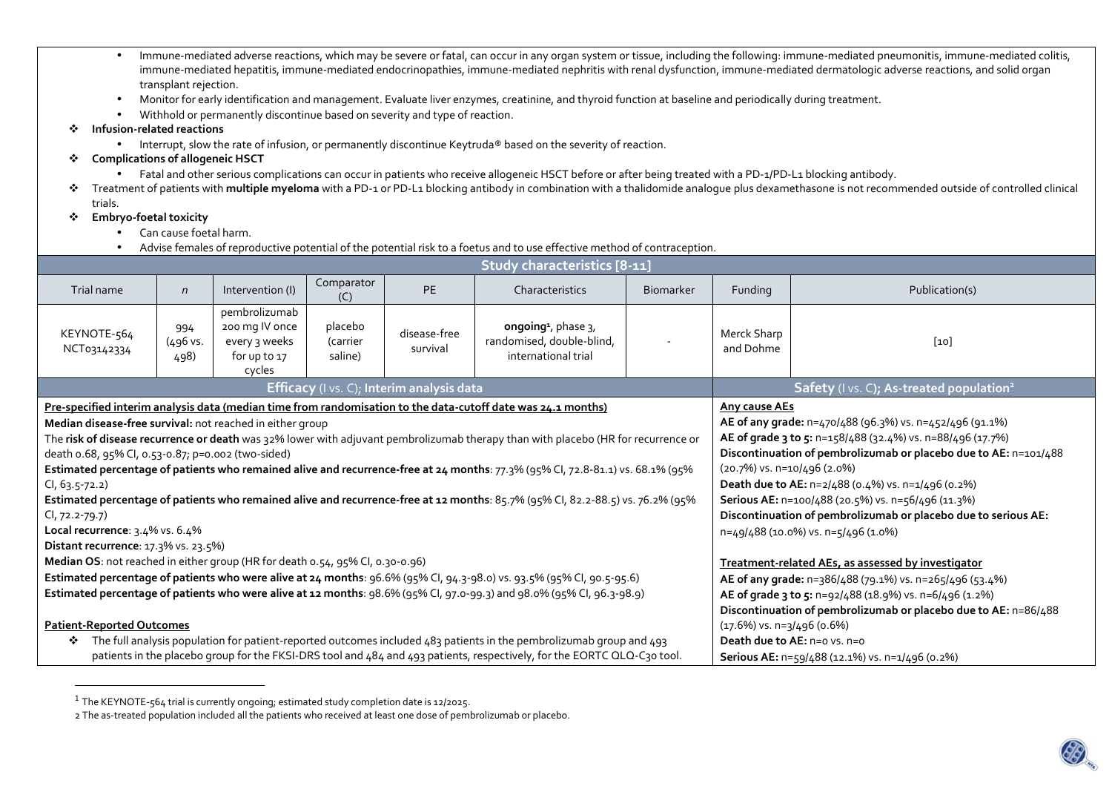- • Immune-mediated adverse reactions, which may be severe or fatal, can occur in any organ system or tissue, including the following: immune-mediated pneumonitis, immune-mediated colitis, immune-mediated hepatitis, immune-mediated endocrinopathies, immune-mediated nephritis with renal dysfunction, immune-mediated dermatologic adverse reactions, and solid organ transplant rejection.
- •Monitor for early identification and management. Evaluate liver enzymes, creatinine, and thyroid function at baseline and periodically during treatment.
- •Withhold or permanently discontinue based on severity and type of reaction.
- ❖ **Infusion-related reactions** 
	- Interrupt, slow the rate of infusion, or permanently discontinue Keytruda® based on the severity of reaction.
- **Complications of allogeneic HSCT** 
	- Fatal and other serious complications can occur in patients who receive allogeneic HSCT before or after being treated with a PD-1/PD-L1 blocking antibody.
- \* Treatment of patients with **multiple myeloma** with a PD-1 or PD-L1 blocking antibody in combination with a thalidomide analogue plus dexamethasone is not recommended outside of controlled clinical<br>← trials trials.
- ❖ **Embryo-foetal toxicity** 
	- •Can cause foetal harm.
	- •Advise females of reproductive potential of the potential risk to a foetus and to use effective method of contraception.

| Study characteristics [8-11]                                                                                                                                                                                                                                                                                                                                                                                                                                                                                                                                                                                                                                                                                                                                         |                         |                                                                            |                                |                          |                                                                                        |                                                                                                                                                                                        |                                                                                                                                                                                                                                                                                                                                                                                                                                                                          |                |  |
|----------------------------------------------------------------------------------------------------------------------------------------------------------------------------------------------------------------------------------------------------------------------------------------------------------------------------------------------------------------------------------------------------------------------------------------------------------------------------------------------------------------------------------------------------------------------------------------------------------------------------------------------------------------------------------------------------------------------------------------------------------------------|-------------------------|----------------------------------------------------------------------------|--------------------------------|--------------------------|----------------------------------------------------------------------------------------|----------------------------------------------------------------------------------------------------------------------------------------------------------------------------------------|--------------------------------------------------------------------------------------------------------------------------------------------------------------------------------------------------------------------------------------------------------------------------------------------------------------------------------------------------------------------------------------------------------------------------------------------------------------------------|----------------|--|
| Trial name                                                                                                                                                                                                                                                                                                                                                                                                                                                                                                                                                                                                                                                                                                                                                           | $\mathsf{n}$            | Intervention (I)                                                           | Comparator<br>(C)              | <b>PE</b>                | Characteristics                                                                        | <b>Biomarker</b>                                                                                                                                                                       | Funding                                                                                                                                                                                                                                                                                                                                                                                                                                                                  | Publication(s) |  |
| KEYNOTE-564<br>NCT03142334                                                                                                                                                                                                                                                                                                                                                                                                                                                                                                                                                                                                                                                                                                                                           | 994<br>(496 vs.<br>498) | pembrolizumab<br>200 mg IV once<br>every 3 weeks<br>for up to 17<br>cycles | placebo<br>(carrier<br>saline) | disease-free<br>survival | ongoing <sup>1</sup> , phase $3$ ,<br>randomised, double-blind,<br>international trial |                                                                                                                                                                                        | Merck Sharp<br>and Dohme                                                                                                                                                                                                                                                                                                                                                                                                                                                 | $[10]$         |  |
| Efficacy (I vs. C); Interim analysis data                                                                                                                                                                                                                                                                                                                                                                                                                                                                                                                                                                                                                                                                                                                            |                         |                                                                            |                                |                          |                                                                                        |                                                                                                                                                                                        | Safety (I vs. C); As-treated population <sup>2</sup>                                                                                                                                                                                                                                                                                                                                                                                                                     |                |  |
| Pre-specified interim analysis data (median time from randomisation to the data-cutoff date was 24.1 months)<br>Median disease-free survival: not reached in either group<br>The risk of disease recurrence or death was 32% lower with adjuvant pembrolizumab therapy than with placebo (HR for recurrence or<br>death 0.68, 95% CI, 0.53-0.87; p=0.002 (two-sided)<br>Estimated percentage of patients who remained alive and recurrence-free at 24 months: 77.3% (95% CI, 72.8-81.1) vs. 68.1% (95%<br>$CI, 63.5-72.2)$<br>Estimated percentage of patients who remained alive and recurrence-free at 12 months: 85.7% (95% CI, 82.2-88.5) vs. 76.2% (95%<br>$Cl$ , 72.2-79.7)<br>Local recurrence: 3.4% vs. 6.4%<br><b>Distant recurrence</b> : 17.3% vs. 23.5%) |                         |                                                                            |                                |                          |                                                                                        |                                                                                                                                                                                        | <b>Any cause AEs</b><br>AE of any grade: n=470/488 (96.3%) vs. n=452/496 (91.1%)<br>AE of grade 3 to 5: n=158/488 (32.4%) vs. n=88/496 (17.7%)<br>Discontinuation of pembrolizumab or placebo due to AE: n=101/488<br>$(20.7%)$ vs. n=10/496 (2.0%)<br>Death due to AE: n=2/488 (0.4%) vs. n=1/496 (0.2%)<br>Serious AE: n=100/488 (20.5%) vs. n=56/496 (11.3%)<br>Discontinuation of pembrolizumab or placebo due to serious AE:<br>n=49/488 (10.0%) vs. n=5/496 (1.0%) |                |  |
| Median OS: not reached in either group (HR for death 0.54, 95% CI, 0.30-0.96)                                                                                                                                                                                                                                                                                                                                                                                                                                                                                                                                                                                                                                                                                        |                         |                                                                            |                                |                          |                                                                                        |                                                                                                                                                                                        | Treatment-related AEs, as assessed by investigator                                                                                                                                                                                                                                                                                                                                                                                                                       |                |  |
| Estimated percentage of patients who were alive at 24 months: 96.6% (95% Cl, 94.3-98.0) vs. 93.5% (95% Cl, 90.5-95.6)<br>Estimated percentage of patients who were alive at 12 months: 98.6% (95% CI, 97.0-99.3) and 98.0% (95% CI, 96.3-98.9)                                                                                                                                                                                                                                                                                                                                                                                                                                                                                                                       |                         |                                                                            |                                |                          |                                                                                        | AE of any grade: n=386/488 (79.1%) vs. n=265/496 (53.4%)<br>AE of grade 3 to 5: n=92/488 (18.9%) vs. n=6/496 (1.2%)<br>Discontinuation of pembrolizumab or placebo due to AE: n=86/488 |                                                                                                                                                                                                                                                                                                                                                                                                                                                                          |                |  |
| <b>Patient-Reported Outcomes</b>                                                                                                                                                                                                                                                                                                                                                                                                                                                                                                                                                                                                                                                                                                                                     |                         |                                                                            |                                |                          |                                                                                        | $(17.6\%)$ vs. n=3/496 (0.6%)                                                                                                                                                          |                                                                                                                                                                                                                                                                                                                                                                                                                                                                          |                |  |
| The full analysis population for patient-reported outcomes included 483 patients in the pembrolizumab group and 493<br>❖<br>patients in the placebo group for the FKSI-DRS tool and 484 and 493 patients, respectively, for the EORTC QLQ-C30 tool.                                                                                                                                                                                                                                                                                                                                                                                                                                                                                                                  |                         |                                                                            |                                |                          |                                                                                        | <b>Death due to AE:</b> $n=0$ vs. $n=0$<br>Serious AE: n=59/488 (12.1%) vs. n=1/496 (0.2%)                                                                                             |                                                                                                                                                                                                                                                                                                                                                                                                                                                                          |                |  |

 $^{\rm 1}$  The KEYNOTE-564 trial is currently ongoing; estimated study completion date is 12/2025.

2 The as-treated population included all the patients who received at least one dose of pembrolizumab or placebo.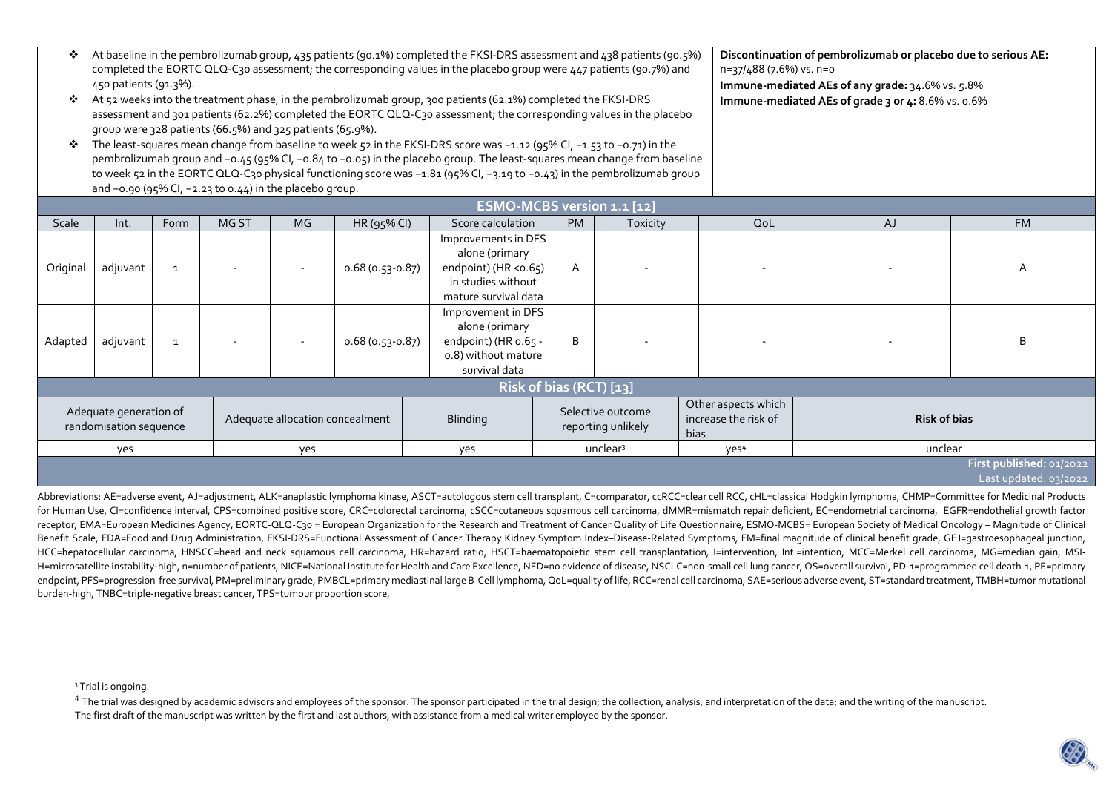| ❖<br>❖<br>❖                                      | At baseline in the pembrolizumab group, 435 patients (90.1%) completed the FKSI-DRS assessment and 438 patients (90.5%)<br>Discontinuation of pembrolizumab or placebo due to serious AE:<br>completed the EORTC QLQ-C30 assessment; the corresponding values in the placebo group were 447 patients (90.7%) and<br>n=37/488 (7.6%) vs. n=o<br>450 patients (91.3%).<br>Immune-mediated AEs of any grade: 34.6% vs. 5.8%<br>At 52 weeks into the treatment phase, in the pembrolizumab group, 300 patients (62.1%) completed the FKSI-DRS<br>Immune-mediated AEs of grade 3 or 4: 8.6% vs. o.6%<br>assessment and 301 patients (62.2%) completed the EORTC QLQ-C30 assessment; the corresponding values in the placebo<br>group were 328 patients (66.5%) and 325 patients (65.9%).<br>The least-squares mean change from baseline to week 52 in the FKSI-DRS score was -1.12 (95% Cl, -1.53 to -0.71) in the<br>pembrolizumab group and -o.45 (95% CI, -o.84 to -o.o5) in the placebo group. The least-squares mean change from baseline<br>to week 52 in the EORTC QLQ-C30 physical functioning score was -1.81 (95% CI, -3.19 to -0.43) in the pembrolizumab group<br>and $-0.90$ (95% CI, $-2.23$ to $0.44$ ) in the placebo group. |              |                                 |     |                   |                                                                                                                 |           |                                                            |                     |           |                                                   |
|--------------------------------------------------|-----------------------------------------------------------------------------------------------------------------------------------------------------------------------------------------------------------------------------------------------------------------------------------------------------------------------------------------------------------------------------------------------------------------------------------------------------------------------------------------------------------------------------------------------------------------------------------------------------------------------------------------------------------------------------------------------------------------------------------------------------------------------------------------------------------------------------------------------------------------------------------------------------------------------------------------------------------------------------------------------------------------------------------------------------------------------------------------------------------------------------------------------------------------------------------------------------------------------------------------|--------------|---------------------------------|-----|-------------------|-----------------------------------------------------------------------------------------------------------------|-----------|------------------------------------------------------------|---------------------|-----------|---------------------------------------------------|
|                                                  | ESMO-MCBS version 1.1 [12]                                                                                                                                                                                                                                                                                                                                                                                                                                                                                                                                                                                                                                                                                                                                                                                                                                                                                                                                                                                                                                                                                                                                                                                                              |              |                                 |     |                   |                                                                                                                 |           |                                                            |                     |           |                                                   |
| Scale                                            | Int.                                                                                                                                                                                                                                                                                                                                                                                                                                                                                                                                                                                                                                                                                                                                                                                                                                                                                                                                                                                                                                                                                                                                                                                                                                    | Form         | MG ST                           | MG. | HR (95% CI)       | Score calculation                                                                                               | <b>PM</b> | Toxicity                                                   | QoL                 | <b>AJ</b> | <b>FM</b>                                         |
| Original                                         | adjuvant                                                                                                                                                                                                                                                                                                                                                                                                                                                                                                                                                                                                                                                                                                                                                                                                                                                                                                                                                                                                                                                                                                                                                                                                                                | $\mathbf{1}$ |                                 |     | $0.68(0.53-0.87)$ | Improvements in DFS<br>alone (primary<br>endpoint) (HR < $0.65$ )<br>in studies without<br>mature survival data | A         |                                                            |                     |           | A                                                 |
| Adapted                                          | adjuvant                                                                                                                                                                                                                                                                                                                                                                                                                                                                                                                                                                                                                                                                                                                                                                                                                                                                                                                                                                                                                                                                                                                                                                                                                                | $\mathbf{1}$ |                                 |     | $0.68(0.53-0.87)$ | Improvement in DFS<br>alone (primary<br>endpoint) (HR o.65 -<br>o.8) without mature<br>survival data            | B         |                                                            |                     |           | B                                                 |
|                                                  | Risk of bias (RCT) [13]                                                                                                                                                                                                                                                                                                                                                                                                                                                                                                                                                                                                                                                                                                                                                                                                                                                                                                                                                                                                                                                                                                                                                                                                                 |              |                                 |     |                   |                                                                                                                 |           |                                                            |                     |           |                                                   |
| Adequate generation of<br>randomisation sequence |                                                                                                                                                                                                                                                                                                                                                                                                                                                                                                                                                                                                                                                                                                                                                                                                                                                                                                                                                                                                                                                                                                                                                                                                                                         |              | Adequate allocation concealment |     | <b>Blinding</b>   | Selective outcome<br>reporting unlikely                                                                         |           | Other aspects which<br>increase the risk of<br><b>bias</b> | <b>Risk of bias</b> |           |                                                   |
|                                                  | yes                                                                                                                                                                                                                                                                                                                                                                                                                                                                                                                                                                                                                                                                                                                                                                                                                                                                                                                                                                                                                                                                                                                                                                                                                                     |              |                                 | yes |                   | yes                                                                                                             |           | unclear <sup>3</sup>                                       | yes <sup>4</sup>    | unclear   |                                                   |
|                                                  |                                                                                                                                                                                                                                                                                                                                                                                                                                                                                                                                                                                                                                                                                                                                                                                                                                                                                                                                                                                                                                                                                                                                                                                                                                         |              |                                 |     |                   |                                                                                                                 |           |                                                            |                     |           | First published: 01/2022<br>Last updated: 03/2022 |

Abbreviations: AE=adverse event, AJ=adjustment, ALK=anaplastic lymphoma kinase, ASCT=autologous stem cell transplant, C=comparator, ccRCC=clear cell RCC, cHL=classical Hodgkin lymphoma, CHMP=Committee for Medicinal Products for Human Use, CI=confidence interval, CPS=combined positive score, CRC=colorectal carcinoma, cSCC=cutaneous squamous cell carcinoma, dMMR=mismatch repair deficient, EC=endometrial carcinoma, EGFR=endothelial growth factor receptor, EMA=European Medicines Agency, EORTC-QLQ-C30 = European Organization for the Research and Treatment of Cancer Quality of Life Questionnaire, ESMO-MCBS= European Society of Medical Oncology – Magnitude of Clinical Benefit Scale, FDA=Food and Drug Administration, FKSI-DRS=Functional Assessment of Cancer Therapy Kidney Symptom Index–Disease-Related Symptoms, FM=final magnitude of clinical benefit grade, GEJ=gastroesophageal junction, HCC=hepatocellular carcinoma, HNSCC=head and neck squamous cell carcinoma, HR=hazard ratio, HSCT=haematopoietic stem cell transplantation, I=intervention, Int.=intention, MCC=Merkel cell carcinoma, MG=median gain, MSI-H=microsatellite instability-high, n=number of patients, NICE=National Institute for Health and Care Excellence, NED=no evidence of disease, NSCLC=non-small cell lung cancer, OS=overall survival, PD-1=programmed cell death endpoint, PFS=progression-free survival, PM=preliminary grade, PMBCL=primary mediastinal large B-Cell lymphoma, QoL=quality of life, RCC=renal cell carcinoma, SAE=serious adverse event, ST=standard treatment, TMBH=tumor mu burden-high, TNBC=triple‑negative breast cancer, TPS=tumour proportion score,

<sup>&</sup>lt;sup>3</sup> Trial is ongoing.

 $^4$  The trial was designed by academic advisors and employees of the sponsor. The sponsor participated in the trial design; the collection, analysis, and interpretation of the data; and the writing of the manuscript. The first draft of the manuscript was written by the first and last authors, with assistance from a medical writer employed by the sponsor.